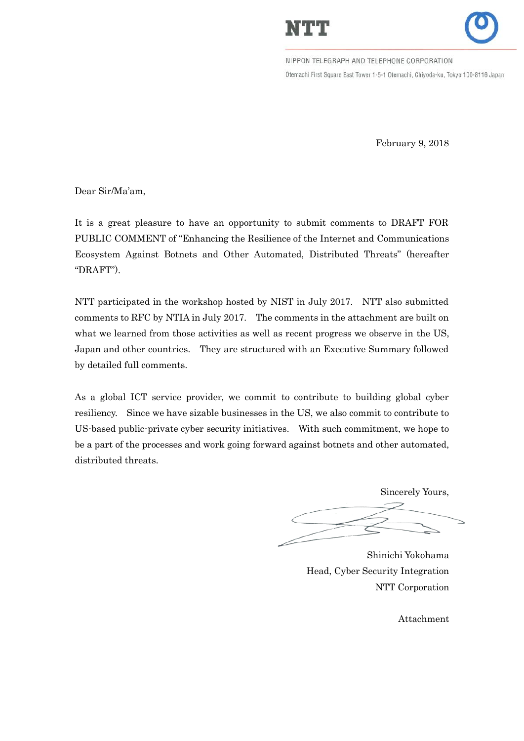



February 9, 2018

Dear Sir/Ma'am,

It is a great pleasure to have an opportunity to submit comments to DRAFT FOR PUBLIC COMMENT of "Enhancing the Resilience of the Internet and Communications Ecosystem Against Botnets and Other Automated, Distributed Threats" (hereafter "DRAFT").

NTT participated in the workshop hosted by NIST in July 2017. NTT also submitted comments to RFC by NTIA in July 2017. The comments in the attachment are built on what we learned from those activities as well as recent progress we observe in the US. Japan and other countries. They are structured with an Executive Summary followed by detailed full comments.

As a global ICT service provider, we commit to contribute to building global cyber resiliency. Since we have sizable businesses in the US, we also commit to contribute to US-based public-private cyber security initiatives. With such commitment, we hope to be a part of the processes and work going forward against botnets and other automated, distributed threats.

Sincerely Yours,

Shinichi Yokohama Head, Cyber Security Integration NTT Corporation

Attachment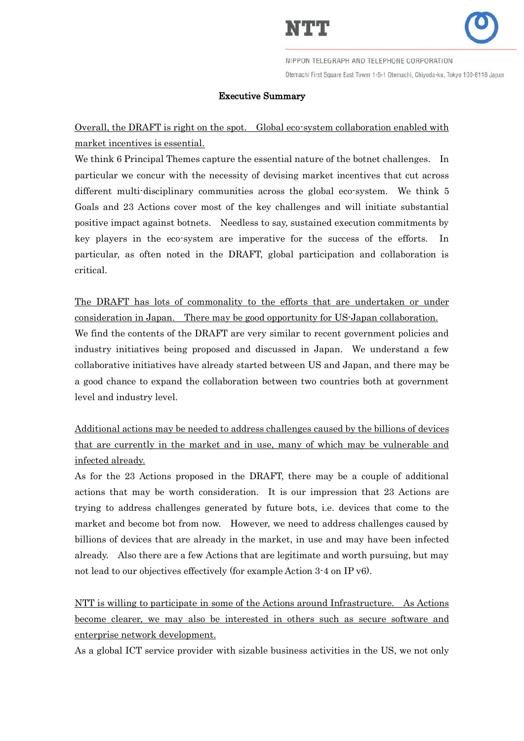

## Executive Summary

## Overall, the DRAFT is right on the spot. Global eco-system collaboration enabled with market incentives is essential.

We think 6 Principal Themes capture the essential nature of the botnet challenges. In particular we concur with the necessity of devising market incentives that cut across different multi-disciplinary communities across the global eco-system. We think 5 Goals and 23 Actions cover most of the key challenges and will initiate substantial positive impact against botnets. Needless to say, sustained execution commitments by key players in the eco-system are imperative for the success of the efforts. In particular, as often noted in the DRAFT, global participation and collaboration is critical.

The DRAFT has lots of commonality to the efforts that are undertaken or under consideration in Japan. There may be good opportunity for US-Japan collaboration. We find the contents of the DRAFT are very similar to recent government policies and industry initiatives being proposed and discussed in Japan. We understand a few collaborative initiatives have already started between US and Japan, and there may be a good chance to expand the collaboration between two countries both at government level and industry level.

Additional actions may be needed to address challenges caused by the billions of devices that are currently in the market and in use, many of which may be vulnerable and infected already.

As for the 23 Actions proposed in the DRAFT, there may be a couple of additional actions that may be worth consideration. It is our impression that 23 Actions are trying to address challenges generated by future bots, i.e. devices that come to the market and become bot from now. However, we need to address challenges caused by billions of devices that are already in the market, in use and may have been infected already. Also there are a few Actions that are legitimate and worth pursuing, but may not lead to our objectives effectively (for example Action 3-4 on IP v6).

NTT is willing to participate in some of the Actions around Infrastructure. As Actions become clearer, we may also be interested in others such as secure software and enterprise network development.

As a global ICT service provider with sizable business activities in the US, we not only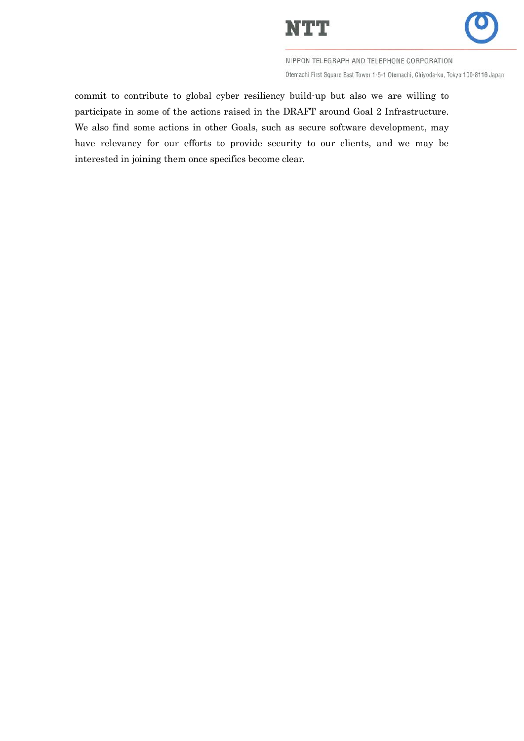



commit to contribute to global cyber resiliency build-up but also we are willing to participate in some of the actions raised in the DRAFT around Goal 2 Infrastructure. We also find some actions in other Goals, such as secure software development, may have relevancy for our efforts to provide security to our clients, and we may be interested in joining them once specifics become clear.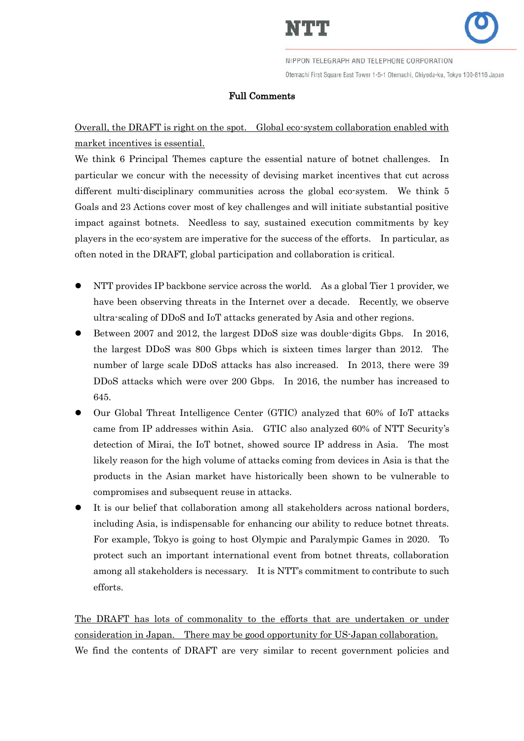

## Full Comments

## Overall, the DRAFT is right on the spot. Global eco-system collaboration enabled with market incentives is essential.

We think 6 Principal Themes capture the essential nature of botnet challenges. In particular we concur with the necessity of devising market incentives that cut across different multi-disciplinary communities across the global eco-system. We think 5 Goals and 23 Actions cover most of key challenges and will initiate substantial positive impact against botnets. Needless to say, sustained execution commitments by key players in the eco-system are imperative for the success of the efforts. In particular, as often noted in the DRAFT, global participation and collaboration is critical.

- NTT provides IP backbone service across the world. As a global Tier 1 provider, we have been observing threats in the Internet over a decade. Recently, we observe ultra-scaling of DDoS and IoT attacks generated by Asia and other regions.
- Between 2007 and 2012, the largest DDoS size was double-digits Gbps. In 2016, the largest DDoS was 800 Gbps which is sixteen times larger than 2012. The number of large scale DDoS attacks has also increased. In 2013, there were 39 DDoS attacks which were over 200 Gbps. In 2016, the number has increased to 645.
- Our Global Threat Intelligence Center (GTIC) analyzed that 60% of IoT attacks came from IP addresses within Asia. GTIC also analyzed 60% of NTT Security's detection of Mirai, the IoT botnet, showed source IP address in Asia. The most likely reason for the high volume of attacks coming from devices in Asia is that the products in the Asian market have historically been shown to be vulnerable to compromises and subsequent reuse in attacks.
- It is our belief that collaboration among all stakeholders across national borders, including Asia, is indispensable for enhancing our ability to reduce botnet threats. For example, Tokyo is going to host Olympic and Paralympic Games in 2020. To protect such an important international event from botnet threats, collaboration among all stakeholders is necessary. It is NTT's commitment to contribute to such efforts.

The DRAFT has lots of commonality to the efforts that are undertaken or under consideration in Japan. There may be good opportunity for US-Japan collaboration. We find the contents of DRAFT are very similar to recent government policies and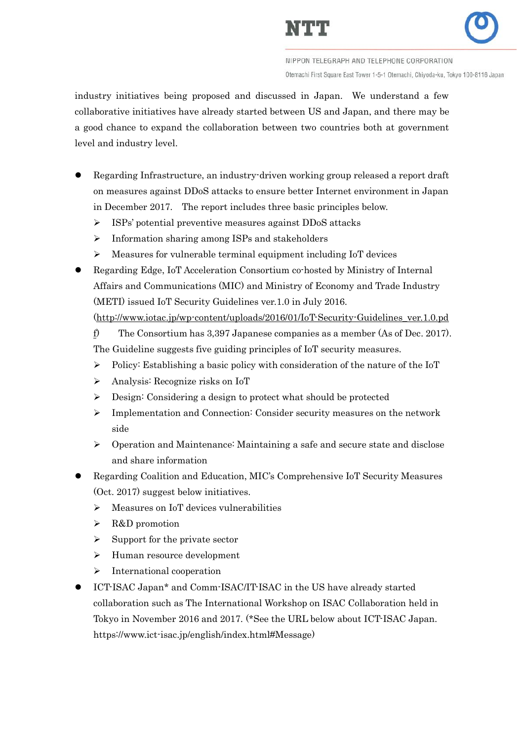



industry initiatives being proposed and discussed in Japan. We understand a few collaborative initiatives have already started between US and Japan, and there may be a good chance to expand the collaboration between two countries both at government level and industry level.

- Regarding Infrastructure, an industry-driven working group released a report draft on measures against DDoS attacks to ensure better Internet environment in Japan in December 2017. The report includes three basic principles below.
	- ISPs' potential preventive measures against DDoS attacks
	- $\triangleright$  Information sharing among ISPs and stakeholders
	- $\triangleright$  Measures for vulnerable terminal equipment including IoT devices
- Regarding Edge, IoT Acceleration Consortium co-hosted by Ministry of Internal Affairs and Communications (MIC) and Ministry of Economy and Trade Industry (METI) issued IoT Security Guidelines ver.1.0 in July 2016.

[\(http://www.iotac.jp/wp-content/uploads/2016/01/IoT-Security-Guidelines\\_ver.1.0.pd](http://www.iotac.jp/wp-content/uploads/2016/01/IoT-Security-Guidelines_ver.1.0.pdf)

[f\)](http://www.iotac.jp/wp-content/uploads/2016/01/IoT-Security-Guidelines_ver.1.0.pdf) The Consortium has 3,397 Japanese companies as a member (As of Dec. 2017). The Guideline suggests five guiding principles of IoT security measures.

- $\triangleright$  Policy: Establishing a basic policy with consideration of the nature of the IoT
- Analysis: Recognize risks on IoT
- Design: Considering a design to protect what should be protected
- $\triangleright$  Implementation and Connection: Consider security measures on the network side
- $\triangleright$  Operation and Maintenance: Maintaining a safe and secure state and disclose and share information
- Regarding Coalition and Education, MIC's Comprehensive IoT Security Measures (Oct. 2017) suggest below initiatives.
	- $\triangleright$  Measures on IoT devices vulnerabilities
	- R&D promotion
	- $\triangleright$  Support for the private sector
	- > Human resource development
	- $\triangleright$  International cooperation
- ICT-ISAC Japan\* and Comm-ISAC/IT-ISAC in the US have already started collaboration such as The International Workshop on ISAC Collaboration held in Tokyo in November 2016 and 2017. (\*See the URL below about ICT-ISAC Japan. https://www.ict-isac.jp/english/index.html#Message)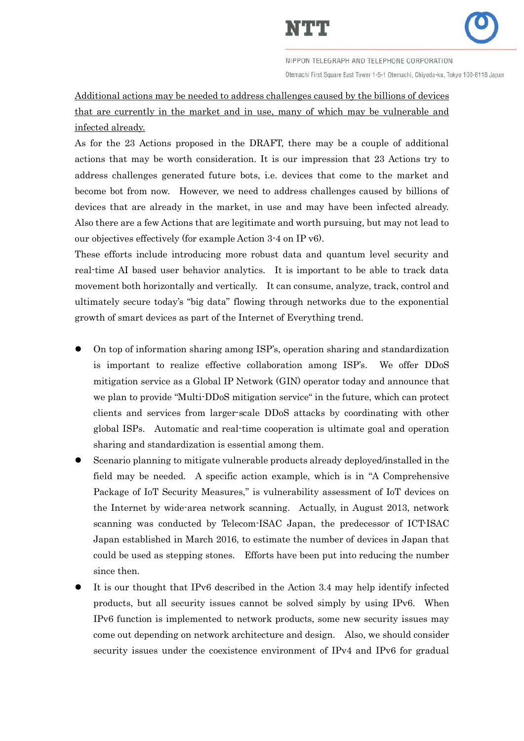

Additional actions may be needed to address challenges caused by the billions of devices that are currently in the market and in use, many of which may be vulnerable and infected already.

As for the 23 Actions proposed in the DRAFT, there may be a couple of additional actions that may be worth consideration. It is our impression that 23 Actions try to address challenges generated future bots, i.e. devices that come to the market and become bot from now. However, we need to address challenges caused by billions of devices that are already in the market, in use and may have been infected already. Also there are a few Actions that are legitimate and worth pursuing, but may not lead to our objectives effectively (for example Action 3-4 on IP v6).

These efforts include introducing more robust data and quantum level security and real-time AI based user behavior analytics. It is important to be able to track data movement both horizontally and vertically. It can consume, analyze, track, control and ultimately secure today's "big data" flowing through networks due to the exponential growth of smart devices as part of the Internet of Everything trend.

- On top of information sharing among ISP's, operation sharing and standardization is important to realize effective collaboration among ISP's. We offer DDoS mitigation service as a Global IP Network (GIN) operator today and announce that we plan to provide "Multi-DDoS mitigation service" in the future, which can protect clients and services from larger-scale DDoS attacks by coordinating with other global ISPs. Automatic and real-time cooperation is ultimate goal and operation sharing and standardization is essential among them.
- Scenario planning to mitigate vulnerable products already deployed/installed in the field may be needed. A specific action example, which is in "A Comprehensive Package of IoT Security Measures," is vulnerability assessment of IoT devices on the Internet by wide-area network scanning. Actually, in August 2013, network scanning was conducted by Telecom-ISAC Japan, the predecessor of ICT-ISAC Japan established in March 2016, to estimate the number of devices in Japan that could be used as stepping stones. Efforts have been put into reducing the number since then.
- It is our thought that IPv6 described in the Action 3.4 may help identify infected products, but all security issues cannot be solved simply by using IPv6. When IPv6 function is implemented to network products, some new security issues may come out depending on network architecture and design. Also, we should consider security issues under the coexistence environment of IPv4 and IPv6 for gradual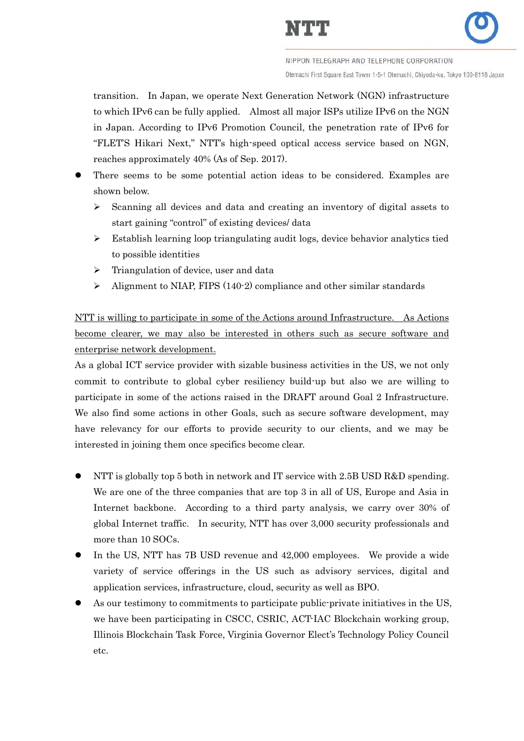

transition. In Japan, we operate Next Generation Network (NGN) infrastructure to which IPv6 can be fully applied. Almost all major ISPs utilize IPv6 on the NGN in Japan. According to IPv6 Promotion Council, the penetration rate of IPv6 for "FLET'S Hikari Next," NTT's high-speed optical access service based on NGN, reaches approximately 40% (As of Sep. 2017).

- There seems to be some potential action ideas to be considered. Examples are shown below.
	- $\triangleright$  Scanning all devices and data and creating an inventory of digital assets to start gaining "control" of existing devices/ data
	- $\triangleright$  Establish learning loop triangulating audit logs, device behavior analytics tied to possible identities
	- $\triangleright$  Triangulation of device, user and data
	- $\triangleright$  Alignment to NIAP, FIPS (140-2) compliance and other similar standards

NTT is willing to participate in some of the Actions around Infrastructure. As Actions become clearer, we may also be interested in others such as secure software and enterprise network development.

As a global ICT service provider with sizable business activities in the US, we not only commit to contribute to global cyber resiliency build-up but also we are willing to participate in some of the actions raised in the DRAFT around Goal 2 Infrastructure. We also find some actions in other Goals, such as secure software development, may have relevancy for our efforts to provide security to our clients, and we may be interested in joining them once specifics become clear.

- NTT is globally top 5 both in network and IT service with 2.5B USD R&D spending. We are one of the three companies that are top 3 in all of US, Europe and Asia in Internet backbone. According to a third party analysis, we carry over 30% of global Internet traffic. In security, NTT has over 3,000 security professionals and more than 10 SOCs.
- In the US, NTT has 7B USD revenue and 42,000 employees. We provide a wide variety of service offerings in the US such as advisory services, digital and application services, infrastructure, cloud, security as well as BPO.
- As our testimony to commitments to participate public-private initiatives in the US, we have been participating in CSCC, CSRIC, ACT-IAC Blockchain working group, Illinois Blockchain Task Force, Virginia Governor Elect's Technology Policy Council etc.